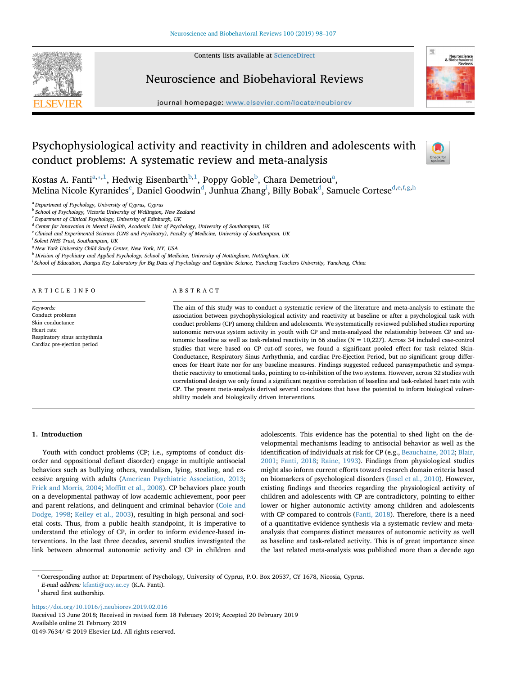Contents lists available at [ScienceDirect](http://www.sciencedirect.com/science/journal/01497634)



# Neuroscience and Biobehavioral Reviews

journal homepage: [www.elsevier.com/locate/neubiorev](https://www.elsevier.com/locate/neubiorev)

# Psychophysiological activity and reactivity in children and adolescents with conduct problems: A systematic review and meta-analysis



Kost[a](#page-0-0)s A. Fanti $^{\mathrm{a},\mathrm{*},1}$  $^{\mathrm{a},\mathrm{*},1}$  $^{\mathrm{a},\mathrm{*},1}$ , Hedwig Eisen[b](#page-0-3)arth $^{\mathrm{b},1}$ , Poppy Goble $^{\mathrm{b}}$ , Chara Demetriou $^{\mathrm{a}}$ ,

Melina Ni[c](#page-0-4)ole Kyrani[d](#page-0-5)[e](#page-0-7)s $^{\rm c}$ , Daniel Goodwin $^{\rm d}$ , Junhua Zhan[g](#page-0-9) $^{\rm i}$ , Billy Bobak $^{\rm d}$ , Samuele Cortese $^{\rm d,e,f,g,h}$  $^{\rm d,e,f,g,h}$  $^{\rm d,e,f,g,h}$  $^{\rm d,e,f,g,h}$  $^{\rm d,e,f,g,h}$  $^{\rm d,e,f,g,h}$  $^{\rm d,e,f,g,h}$ 

<span id="page-0-0"></span><sup>a</sup> *Department of Psychology, University of Cyprus, Cyprus*

<span id="page-0-3"></span><sup>b</sup> *School of Psychology, Victoria University of Wellington, New Zealand*

<span id="page-0-4"></span><sup>c</sup> *Department of Clinical Psychology, University of Edinburgh, UK*

<span id="page-0-5"></span><sup>d</sup> *Center for Innovation in Mental Health, Academic Unit of Psychology, University of Southampton, UK*

<span id="page-0-7"></span><sup>e</sup> *Clinical and Experimental Sciences (CNS and Psychiatry), Faculty of Medicine, University of Southampton, UK*

<span id="page-0-8"></span>f *Solent NHS Trust, Southampton, UK*

<span id="page-0-9"></span><sup>g</sup> *New York University Child Study Center, New York, NY, USA*

<span id="page-0-10"></span><sup>h</sup> *Division of Psychiatry and Applied Psychology, School of Medicine, University of Nottingham, Nottingham, UK*

<span id="page-0-6"></span>i *School of Education, Jiangsu Key Laboratory for Big Data of Psychology and Cognitive Science, Yancheng Teachers University, Yancheng, China*

ARTICLE INFO

*Keywords:* Conduct problems Skin conductance Heart rate Respiratory sinus arrhythmia Cardiac pre-ejection period

# ABSTRACT

The aim of this study was to conduct a systematic review of the literature and meta-analysis to estimate the association between psychophysiological activity and reactivity at baseline or after a psychological task with conduct problems (CP) among children and adolescents. We systematically reviewed published studies reporting autonomic nervous system activity in youth with CP and meta-analyzed the relationship between CP and autonomic baseline as well as task-related reactivity in 66 studies (N = 10,227). Across 34 included case-control studies that were based on CP cut-off scores, we found a significant pooled effect for task related Skin-Conductance, Respiratory Sinus Arrhythmia, and cardiac Pre-Ejection Period, but no significant group differences for Heart Rate nor for any baseline measures. Findings suggested reduced parasympathetic and sympathetic reactivity to emotional tasks, pointing to co-inhibition of the two systems. However, across 32 studies with correlational design we only found a significant negative correlation of baseline and task-related heart rate with CP. The present meta-analysis derived several conclusions that have the potential to inform biological vulnerability models and biologically driven interventions.

# **1. Introduction**

Youth with conduct problems (CP; i.e., symptoms of conduct disorder and oppositional defiant disorder) engage in multiple antisocial behaviors such as bullying others, vandalism, lying, stealing, and excessive arguing with adults [\(American Psychiatric Association, 2013](#page-7-0); [Frick and Morris, 2004](#page-8-0); [Moffitt et al., 2008\)](#page-9-0). CP behaviors place youth on a developmental pathway of low academic achievement, poor peer and parent relations, and delinquent and criminal behavior [\(Coie and](#page-8-1) [Dodge, 1998](#page-8-1); [Keiley et al., 2003\)](#page-8-2), resulting in high personal and societal costs. Thus, from a public health standpoint, it is imperative to understand the etiology of CP, in order to inform evidence-based interventions. In the last three decades, several studies investigated the link between abnormal autonomic activity and CP in children and adolescents. This evidence has the potential to shed light on the developmental mechanisms leading to antisocial behavior as well as the identification of individuals at risk for CP (e.g., [Beauchaine, 2012;](#page-7-1) [Blair,](#page-8-3) [2001;](#page-8-3) [Fanti, 2018;](#page-8-4) [Raine, 1993\)](#page-9-1). Findings from physiological studies might also inform current efforts toward research domain criteria based on biomarkers of psychological disorders ([Insel et al., 2010](#page-8-5)). However, existing findings and theories regarding the physiological activity of children and adolescents with CP are contradictory, pointing to either lower or higher autonomic activity among children and adolescents with CP compared to controls ([Fanti, 2018\)](#page-8-4). Therefore, there is a need of a quantitative evidence synthesis via a systematic review and metaanalysis that compares distinct measures of autonomic activity as well as baseline and task-related activity. This is of great importance since the last related meta-analysis was published more than a decade ago

<span id="page-0-1"></span>⁎ Corresponding author at: Department of Psychology, University of Cyprus, P.O. Box 20537, CY 1678, Nicosia, Cyprus.

*E-mail address:* [kfanti@ucy.ac.cy](mailto:kfanti@ucy.ac.cy) (K.A. Fanti).

<span id="page-0-2"></span> $^{\rm 1}$  shared first authorship.

<https://doi.org/10.1016/j.neubiorev.2019.02.016>

Received 13 June 2018; Received in revised form 18 February 2019; Accepted 20 February 2019 Available online 21 February 2019

0149-7634/ © 2019 Elsevier Ltd. All rights reserved.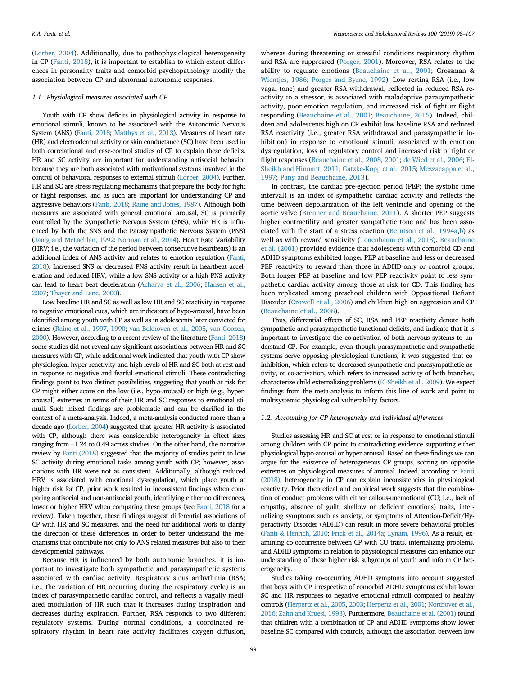([Lorber, 2004\)](#page-8-6). Additionally, due to pathophysiological heterogeneity in CP ([Fanti, 2018](#page-8-4)), it is important to establish to which extent differences in personality traits and comorbid psychopathology modify the association between CP and abnormal autonomic responses.

#### *1.1. Physiological measures associated with CP*

Youth with CP show deficits in physiological activity in response to emotional stimuli, known to be associated with the Autonomic Nervous System (ANS) [\(Fanti, 2018](#page-8-4); [Matthys et al., 2013\)](#page-9-2). Measures of heart rate (HR) and electrodermal activity or skin conductance (SC) have been used in both correlational and case-control studies of CP to explain these deficits. HR and SC activity are important for understanding antisocial behavior because they are both associated with motivational systems involved in the control of behavioral responses to external stimuli [\(Lorber, 2004](#page-8-6)). Further, HR and SC are stress regulating mechanisms that prepare the body for fight or flight responses, and as such are important for understanding CP and aggressive behaviors [\(Fanti, 2018](#page-8-4); [Raine and Jones, 1987](#page-9-3)). Although both measures are associated with general emotional arousal, SC is primarily controlled by the Sympathetic Nervous System (SNS), while HR is influenced by both the SNS and the Parasympathetic Nervous System (PNS) [\(Janig and McLachlan, 1992;](#page-8-7) [Norman et al., 2014](#page-9-4)). Heart Rate Variability (HRV; i.e., the variation of the period between consecutive heartbeats) is an additional index of ANS activity and relates to emotion regulation ([Fanti,](#page-8-4) [2018\)](#page-8-4). Increased SNS or decreased PNS activity result in heartbeat acceleration and reduced HRV, while a low SNS activity or a high PNS activity can lead to heart beat deceleration ([Acharya et al., 2006](#page-7-2); [Hansen et al.,](#page-8-8) [2007;](#page-8-8) [Thayer and Lane, 2000\)](#page-9-5).

Low baseline HR and SC as well as low HR and SC reactivity in response to negative emotional cues, which are indicators of hypo-arousal, have been identified among youth with CP as well as in adolescents later convicted for crimes [\(Raine et al., 1997](#page-9-6), [1990](#page-9-7); [van Bokhoven et al., 2005,](#page-9-8) [van Goozen,](#page-9-9) [2000\)](#page-9-9). However, according to a recent review of the literature [\(Fanti, 2018\)](#page-8-4) some studies did not reveal any significant associations between HR and SC measures with CP, while additional work indicated that youth with CP show physiological hyper-reactivity and high levels of HR and SC both at rest and in response to negative and fearful emotional stimuli. These contradicting findings point to two distinct possibilities, suggesting that youth at risk for CP might either score on the low (i.e., hypo-arousal) or high (e.g., hyperarousal) extremes in terms of their HR and SC responses to emotional stimuli. Such mixed findings are problematic and can be clarified in the context of a meta-analysis. Indeed, a meta-analysis conducted more than a decade ago [\(Lorber, 2004](#page-8-6)) suggested that greater HR activity is associated with CP, although there was considerable heterogeneity in effect sizes ranging from –1.24 to 0.49 across studies. On the other hand, the narrative review by [Fanti \(2018\)](#page-8-4) suggested that the majority of studies point to low SC activity during emotional tasks among youth with CP; however, associations with HR were not as consistent. Additionally, although reduced HRV is associated with emotional dysregulation, which place youth at higher risk for CP, prior work resulted in inconsistent findings when comparing antisocial and non-antisocial youth, identifying either no differences, lower or higher HRV when comparing these groups (see [Fanti, 2018](#page-8-4) for a review). Taken together, these findings suggest differential associations of CP with HR and SC measures, and the need for additional work to clarify the direction of these differences in order to better understand the mechanisms that contribute not only to ANS related measures but also to their developmental pathways.

Because HR is influenced by both autonomic branches, it is important to investigate both sympathetic and parasympathetic systems associated with cardiac activity. Respiratory sinus arrhythmia (RSA; i.e., the variation of HR occurring during the respiratory cycle) is an index of parasympathetic cardiac control, and reflects a vagally mediated modulation of HR such that it increases during inspiration and decreases during expiration. Further, RSA responds to two different regulatory systems. During normal conditions, a coordinated respiratory rhythm in heart rate activity facilitates oxygen diffusion,

whereas during threatening or stressful conditions respiratory rhythm and RSA are suppressed ([Porges, 2001](#page-9-10)). Moreover, RSA relates to the ability to regulate emotions ([Beauchaine et al., 2001](#page-7-3); Grossman & [Wientjes, 1986;](#page-9-11) [Porges and Byrne, 1992](#page-9-12)). Low resting RSA (i.e., low vagal tone) and greater RSA withdrawal, reflected in reduced RSA reactivity to a stressor, is associated with maladaptive parasympathetic activity, poor emotion regulation, and increased risk of fight or flight responding ([Beauchaine et al., 2001](#page-7-3); [Beauchaine, 2015\)](#page-7-4). Indeed, children and adolescents high on CP exhibit low baseline RSA and reduced RSA reactivity (i.e., greater RSA withdrawal and parasympathetic inhibition) in response to emotional stimuli, associated with emotion dysregulation, loss of regulatory control and increased risk of fight or flight responses [\(Beauchaine et al., 2008,](#page-7-5) [2001;](#page-7-3) [de Wied et al., 2006;](#page-8-9) [El-](#page-8-10)[Sheikh and Hinnant, 2011](#page-8-10); [Gatzke-Kopp et al., 2015;](#page-8-11) [Mezzacappa et al.,](#page-9-13) [1997;](#page-9-13) [Pang and Beauchaine, 2013\)](#page-9-14).

In contrast, the cardiac pre-ejection period (PEP; the systolic time interval) is an index of sympathetic cardiac activity and reflects the time between depolarization of the left ventricle and opening of the aortic valve [\(Brenner and Beauchaine, 2011](#page-8-12)). A shorter PEP suggests higher contractility and greater sympathetic tone and has been associated with the start of a stress reaction ([Berntson et al., 1994a,](#page-7-6)[b](#page-7-7)) as well as with reward sensitivity [\(Tenenbaum et al., 2018\)](#page-9-15). [Beauchaine](#page-7-3) [et al. \(2001\)](#page-7-3) provided evidence that adolescents with comorbid CD and ADHD symptoms exhibited longer PEP at baseline and less or decreased PEP reactivity to reward than those in ADHD-only or control groups. Both longer PEP at baseline and low PEP reactivity point to less sympathetic cardiac activity among those at risk for CD. This finding has been replicated among preschool children with Oppositional Defiant Disorder [\(Crowell et al., 2006\)](#page-8-13) and children high on aggression and CP ([Beauchaine et al., 2008\)](#page-7-5).

Thus, differential effects of SC, RSA and PEP reactivity denote both sympathetic and parasympathetic functional deficits, and indicate that it is important to investigate the co-activation of both nervous systems to understand CP. For example, even though parasympathetic and sympathetic systems serve opposing physiological functions, it was suggested that coinhibition, which refers to decreased sympathetic and parasympathetic activity, or co-activation, which refers to increased activity of both branches, characterize child externalizing problems ([El-Sheikh et al., 2009\)](#page-8-14). We expect findings from the meta-analysis to inform this line of work and point to multisystemic physiological vulnerability factors.

# *1.2. Accounting for CP heterogeneity and individual differences*

Studies assessing HR and SC at rest or in response to emotional stimuli among children with CP point to contradicting evidence supporting either physiological hypo-arousal or hyper-arousal. Based on these findings we can argue for the existence of heterogeneous CP groups, scoring on opposite extremes on physiological measures of arousal. Indeed, according to [Fanti](#page-8-4) [\(2018\)](#page-8-4), heterogeneity in CP can explain inconsistencies in physiological reactivity. Prior theoretical and empirical work suggests that the combination of conduct problems with either callous-unemotional (CU; i.e., lack of empathy, absence of guilt, shallow or deficient emotions) traits, internalizing symptoms such as anxiety, or symptoms of Attention-Deficit/Hyperactivity Disorder (ADHD) can result in more severe behavioral profiles [\(Fanti & Henrich, 2010;](#page-8-15) [Frick et al., 2014a](#page-8-16); [Lynam, 1996\)](#page-8-17). As a result, examining co-occurrence between CP with CU traits, internalizing problems, and ADHD symptoms in relation to physiological measures can enhance our understanding of these higher risk subgroups of youth and inform CP heterogeneity.

Studies taking co-occurring ADHD symptoms into account suggested that boys with CP irrespective of comorbid ADHD symptoms exhibit lower SC and HR responses to negative emotional stimuli compared to healthy controls ([Herpertz et al., 2005,](#page-8-18) [2003;](#page-8-19) [Herpertz et al., 2001](#page-8-20); [Northover et al.,](#page-9-16) [2016;](#page-9-16) [Zahn and Kruesi, 1993\)](#page-9-17). Furthermore, [Beauchaine et al. \(2001\)](#page-7-3) found that children with a combination of CP and ADHD symptoms show lower baseline SC compared with controls, although the association between low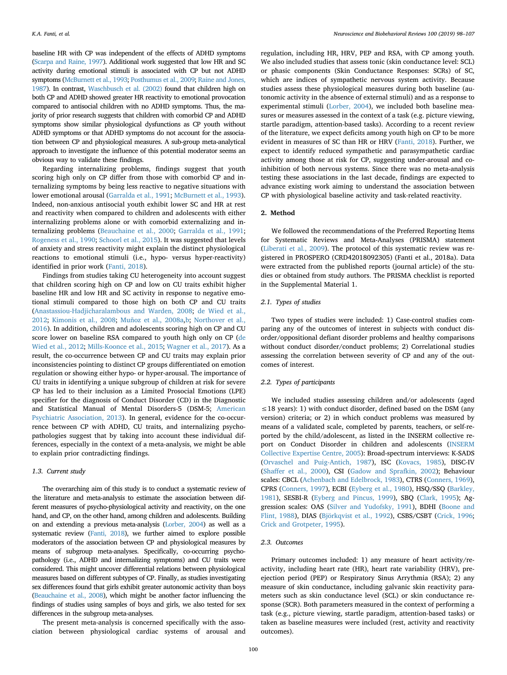baseline HR with CP was independent of the effects of ADHD symptoms [\(Scarpa and Raine, 1997\)](#page-9-18). Additional work suggested that low HR and SC activity during emotional stimuli is associated with CP but not ADHD symptoms [\(McBurnett et al., 1993;](#page-9-19) [Posthumus et al., 2009;](#page-9-20) [Raine and Jones,](#page-9-3) [1987\)](#page-9-3). In contrast, [Waschbusch et al. \(2002\)](#page-9-21) found that children high on both CP and ADHD showed greater HR reactivity to emotional provocation compared to antisocial children with no ADHD symptoms. Thus, the majority of prior research suggests that children with comorbid CP and ADHD symptoms show similar physiological dysfunctions as CP youth without ADHD symptoms or that ADHD symptoms do not account for the association between CP and physiological measures. A sub-group meta-analytical approach to investigate the influence of this potential moderator seems an obvious way to validate these findings.

Regarding internalizing problems, findings suggest that youth scoring high only on CP differ from those with comorbid CP and internalizing symptoms by being less reactive to negative situations with lower emotional arousal ([Garralda et al., 1991](#page-8-21); [McBurnett et al., 1993](#page-9-19)). Indeed, non-anxious antisocial youth exhibit lower SC and HR at rest and reactivity when compared to children and adolescents with either internalizing problems alone or with comorbid externalizing and internalizing problems ([Beauchaine et al., 2000](#page-7-8); [Garralda et al., 1991](#page-8-21); [Rogeness et al., 1990](#page-9-22); [Schoorl et al., 2015](#page-9-23)). It was suggested that levels of anxiety and stress reactivity might explain the distinct physiological reactions to emotional stimuli (i.e., hypo- versus hyper-reactivity) identified in prior work [\(Fanti, 2018](#page-8-4)).

Findings from studies taking CU heterogeneity into account suggest that children scoring high on CP and low on CU traits exhibit higher baseline HR and low HR and SC activity in response to negative emotional stimuli compared to those high on both CP and CU traits ([Anastassiou-Hadjicharalambous and Warden, 2008](#page-7-9); [de Wied et al.,](#page-8-22) [2012;](#page-8-22) [Kimonis et al., 2008;](#page-8-23) [Muñoz et al., 2008a,](#page-9-24)[b](#page-9-25); [Northover et al.,](#page-9-16) [2016\)](#page-9-16). In addition, children and adolescents scoring high on CP and CU score lower on baseline RSA compared to youth high only on CP [\(de](#page-8-22) [Wied et al., 2012;](#page-8-22) [Mills‐Koonce et al., 2015;](#page-9-26) [Wagner et al., 2017](#page-9-27)). As a result, the co-occurrence between CP and CU traits may explain prior inconsistencies pointing to distinct CP groups differentiated on emotion regulation or showing either hypo- or hyper-arousal. The importance of CU traits in identifying a unique subgroup of children at risk for severe CP has led to their inclusion as a Limited Prosocial Emotions (LPE) specifier for the diagnosis of Conduct Disorder (CD) in the Diagnostic and Statistical Manual of Mental Disorders-5 (DSM-5; [American](#page-7-0) [Psychiatric Association, 2013](#page-7-0)). In general, evidence for the co-occurrence between CP with ADHD, CU traits, and internalizing psychopathologies suggest that by taking into account these individual differences, especially in the context of a meta-analysis, we might be able to explain prior contradicting findings.

#### *1.3. Current study*

The overarching aim of this study is to conduct a systematic review of the literature and meta-analysis to estimate the association between different measures of psycho-physiological activity and reactivity, on the one hand, and CP, on the other hand, among children and adolescents. Building on and extending a previous meta-analysis [\(Lorber, 2004\)](#page-8-6) as well as a systematic review [\(Fanti, 2018](#page-8-4)), we further aimed to explore possible moderators of the association between CP and physiological measures by means of subgroup meta-analyses. Specifically, co-occurring psychopathology (i.e., ADHD and internalizing symptoms) and CU traits were considered. This might uncover differential relations between physiological measures based on different subtypes of CP. Finally, as studies investigating sex differences found that girls exhibit greater autonomic activity than boys [\(Beauchaine et al., 2008](#page-7-5)), which might be another factor influencing the findings of studies using samples of boys and girls, we also tested for sex differences in the subgroup meta-analyses.

The present meta-analysis is concerned specifically with the association between physiological cardiac systems of arousal and

regulation, including HR, HRV, PEP and RSA, with CP among youth. We also included studies that assess tonic (skin conductance level: SCL) or phasic components (Skin Conductance Responses: SCRs) of SC, which are indices of sympathetic nervous system activity. Because studies assess these physiological measures during both baseline (autonomic activity in the absence of external stimuli) and as a response to experimental stimuli ([Lorber, 2004](#page-8-6)), we included both baseline measures or measures assessed in the context of a task (e.g. picture viewing, startle paradigm, attention-based tasks). According to a recent review of the literature, we expect deficits among youth high on CP to be more evident in measures of SC than HR or HRV [\(Fanti, 2018](#page-8-4)). Further, we expect to identify reduced sympathetic and parasympathetic cardiac activity among those at risk for CP, suggesting under-arousal and coinhibition of both nervous systems. Since there was no meta-analysis testing these associations in the last decade, findings are expected to advance existing work aiming to understand the association between CP with physiological baseline activity and task-related reactivity.

#### **2. Method**

We followed the recommendations of the Preferred Reporting Items for Systematic Reviews and Meta-Analyses (PRISMA) statement ([Liberati et al., 2009\)](#page-8-24). The protocol of this systematic review was registered in PROSPERO (CRD42018092305) (Fanti et al., 2018a). Data were extracted from the published reports (journal article) of the studies or obtained from study authors. The PRISMA checklist is reported in the Supplemental Material 1.

#### *2.1. Types of studies*

Two types of studies were included: 1) Case-control studies comparing any of the outcomes of interest in subjects with conduct disorder/oppositional defiant disorder problems and healthy comparisons without conduct disorder/conduct problems; 2) Correlational studies assessing the correlation between severity of CP and any of the outcomes of interest.

# *2.2. Types of participants*

We included studies assessing children and/or adolescents (aged  $\leq$ 18 years): 1) with conduct disorder, defined based on the DSM (any version) criteria; or 2) in which conduct problems was measured by means of a validated scale, completed by parents, teachers, or self-reported by the child/adolescent, as listed in the INSERM collective report on Conduct Disorder in children and adolescents [\(INSERM](#page-8-25) [Collective Expertise Centre, 2005](#page-8-25)): Broad-spectrum interviews: K-SADS ([Orvaschel and Puig-Antich, 1987\)](#page-9-28), ISC [\(Kovacs, 1985\)](#page-8-26), DISC-IV ([Shaffer et al., 2000\)](#page-9-29), CSI ([Gadow and Sprafkin, 2002](#page-8-27)); Behaviour scales: CBCL ([Achenbach and Edelbrock, 1983\)](#page-7-10), CTRS [\(Conners, 1969](#page-8-28)), CPRS [\(Conners, 1997\)](#page-8-29), ECBI [\(Eyberg et al., 1980](#page-8-30)), HSQ/SSQ ([Barkley,](#page-7-11) [1981\)](#page-7-11), SESBI-R [\(Eyberg and Pincus, 1999\)](#page-8-31), SBQ [\(Clark, 1995](#page-8-32)); Aggression scales: OAS [\(Silver and Yudofsky, 1991](#page-9-30)), BDHI [\(Boone and](#page-8-33) [Flint, 1988](#page-8-33)), DIAS [\(Björkqvist et al., 1992\)](#page-7-12), CSBS/CSBT ([Crick, 1996](#page-8-34); [Crick and Grotpeter, 1995](#page-8-35)).

# *2.3. Outcomes*

Primary outcomes included: 1) any measure of heart activity/reactivity, including heart rate (HR), heart rate variability (HRV), preejection period (PEP) or Respiratory Sinus Arrythmia (RSA); 2) any measure of skin conductance, including galvanic skin reactivity parameters such as skin conductance level (SCL) or skin conductance response (SCR). Both parameters measured in the context of performing a task (e.g., picture viewing, startle paradigm, attention-based tasks) or taken as baseline measures were included (rest, activity and reactivity outcomes).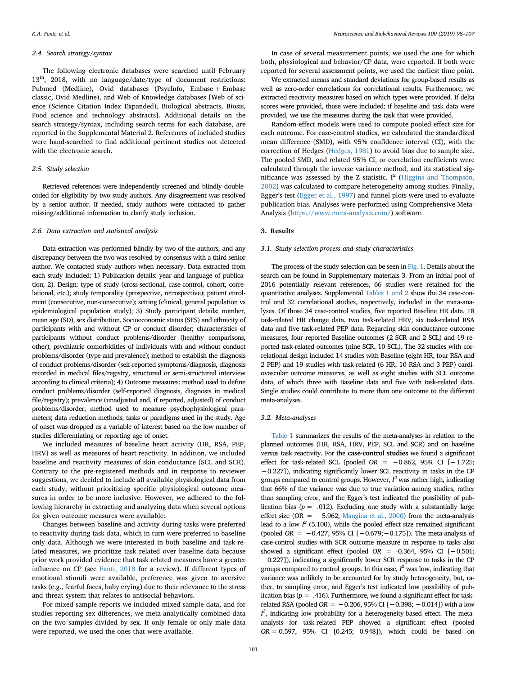#### *2.4. Search strategy/syntax*

The following electronic databases were searched until February 13<sup>th</sup>, 2018, with no language/date/type of document restrictions: Pubmed (Medline), Ovid databases (PsycInfo, Embase + Embase classic, Ovid Medline), and Web of Knowledge databases [Web of science (Science Citation Index Expanded), Biological abstracts, Biosis, Food science and technology abstracts]. Additional details on the search strategy/syntax, including search terms for each database, are reported in the Supplemental Material 2. References of included studies were hand-searched to find additional pertinent studies not detected with the electronic search.

# *2.5. Study selection*

Retrieved references were independently screened and blindly doublecoded for eligibility by two study authors. Any disagreement was resolved by a senior author. If needed, study authors were contacted to gather missing/additional information to clarify study inclusion.

#### *2.6. Data extraction and statistical analysis*

Data extraction was performed blindly by two of the authors, and any discrepancy between the two was resolved by consensus with a third senior author. We contacted study authors when necessary. Data extracted from each study included: 1) Publication details: year and language of publication; 2). Design: type of study (cross-sectional, case-control, cohort, correlational, etc.); study temporality (prospective, retrospective); patient enrolment (consecutive, non-consecutive); setting (clinical, general population vs epidemiological population study); 3) Study participant details: number, mean age (SD), sex distribution, Socioeconomic status (SES) and ethnicity of participants with and without CP or conduct disorder; characteristics of participants without conduct problems/disorder (healthy comparisons, other); psychiatric comorbidities of individuals with and without conduct problems/disorder (type and prevalence); method to establish the diagnosis of conduct problems/disorder (self-reported symptoms/diagnosis, diagnosis recorded in medical files/registry, structured or semi-structured interview according to clinical criteria); 4) Outcome measures: method used to define conduct problems/disorder (self-reported diagnosis, diagnosis in medical file/registry); prevalence (unadjusted and, if reported, adjusted) of conduct problems/disorder; method used to measure psychophysiological parameters; data reduction methods; tasks or paradigms used in the study. Age of onset was dropped as a variable of interest based on the low number of studies differentiating or reporting age of onset.

We included measures of baseline heart activity (HR, RSA, PEP, HRV) as well as measures of heart reactivity. In addition, we included baseline and reactivity measures of skin conductance (SCL and SCR). Contrary to the pre-registered methods and in response to reviewer suggestions, we decided to include all available physiological data from each study, without prioritizing specific physiological outcome measures in order to be more inclusive. However, we adhered to the following hierarchy in extracting and analyzing data when several options for given outcome measures were available:

Changes between baseline and activity during tasks were preferred to reactivity during task data, which in turn were preferred to baseline only data. Although we were interested in both baseline and task-related measures, we prioritize task related over baseline data because prior work provided evidence that task related measures have a greater influence on CP (see [Fanti, 2018](#page-8-4) for a review). If different types of emotional stimuli were available, preference was given to aversive tasks (e.g., fearful faces, baby crying) due to their relevance to the stress and threat system that relates to antisocial behaviors.

For mixed sample reports we included mixed sample data, and for studies reporting sex differences, we meta-analytically combined data on the two samples divided by sex. If only female or only male data were reported, we used the ones that were available.

In case of several measurement points, we used the one for which both, physiological and behavior/CP data, were reported. If both were reported for several assessment points, we used the earliest time point.

We extracted means and standard deviations for group-based results as well as zero-order correlations for correlational results. Furthermore, we extracted reactivity measures based on which types were provided. If delta scores were provided, those were included; if baseline and task data were provided, we use the measures during the task that were provided.

Random-effect models were used to compute pooled effect size for each outcome. For case-control studies, we calculated the standardized mean difference (SMD), with 95% confidence interval (CI), with the correction of Hedges [\(Hedges, 1981\)](#page-8-36) to avoid bias due to sample size. The pooled SMD, and related 95% CI, or correlation coefficients were calculated through the inverse variance method, and its statistical sig-nificance was assessed by the Z statistic. I<sup>2</sup> ([Higgins and Thompson,](#page-8-37) [2002\)](#page-8-37) was calculated to compare heterogeneity among studies. Finally, Egger's test [\(Egger et al., 1997\)](#page-8-38) and funnel plots were used to evaluate publication bias. Analyses were performed using Comprehensive Meta-Analysis (<https://www.meta-analysis.com/>) software.

### **3. Results**

#### *3.1. Study selection process and study characteristics*

The process of the study selection can be seen in [Fig. 1.](#page-4-0) Details about the search can be found in Supplementary materials 3. From an initial pool of 2016 potentially relevant references, 66 studies were retained for the quantitative analyses. Supplemental [Tables 1 and 2](#page-4-1) show the 34 case-control and 32 correlational studies, respectively, included in the meta-analyses. Of those 34 case-control studies, five reported Baseline HR data, 18 task-related HR change data, two task-related HRV, six task-related RSA data and five task-related PEP data. Regarding skin conductance outcome measures, four reported Baseline outcomes (2 SCR and 2 SCL) and 19 reported task-related outcomes (nine SCR, 10 SCL). The 32 studies with correlational design included 14 studies with Baseline (eight HR, four RSA and 2 PEP) and 19 studies with task-related (6 HR, 10 RSA and 3 PEP) cardiovascular outcome measures, as well as eight studies with SCL outcome data, of which three with Baseline data and five with task-related data. Single studies could contribute to more than one outcome to the different meta-analyses.

#### *3.2. Meta-analyses*

[Table 1](#page-4-1) summarizes the results of the meta-analyses in relation to the planned outcomes (HR, RSA, HRV, PEP, SCL and SCR) and on baseline versus task reactivity. For the **case-control studies** we found a significant effect for task-related SCL (pooled *OR* = −0.862, 95% CI [−1.725; −0.227]), indicating significantly lower SCL reactivity in tasks in the CP groups compared to control groups. However,  *was rather high, indicating* that 66% of the variance was due to true variation among studies, rather than sampling error, and the Egger's test indicated the possibility of publication bias  $(p = .012)$ . Excluding one study with a substantially large effect size (OR =  $-5.962$ ; [Mangina et al., 2000\)](#page-8-39) from the meta-analysis lead to a low  $I^2$  (5.100), while the pooled effect size remained significant (pooled *OR* = −0.427, 95% CI [−0.679;−0.175]). The meta-analysis of case-control studies with SCR outcome measure in response to tasks also showed a significant effect (pooled *OR* = -0.364, 95% CI [−0.501; −0.227]), indicating a significantly lower SCR response to tasks in the CP groups compared to control groups. In this case, *I <sup>2</sup>* was low, indicating that variance was unlikely to be accounted for by study heterogeneity, but, rather, to sampling error, and Egger's test indicated low possibility of publication bias ( $p = .416$ ). Furthermore, we found a significant effect for taskrelated RSA (pooled  $OR = -0.206, 95\%$  CI  $[-0.398; -0.014]$ ) with a low  $I^2$ , indicating low probability for a heterogeneity-based effect. The metaanalysis for task-related PEP showed a significant effect (pooled *OR*= 0.597, 95% CI [0.245; 0.948]), which could be based on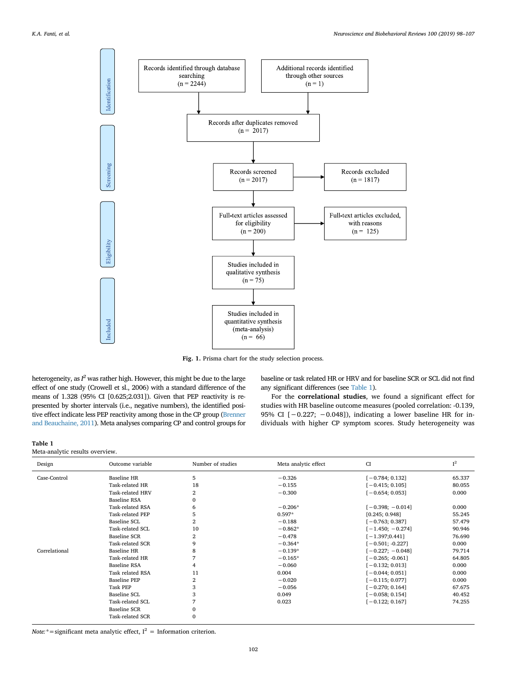<span id="page-4-0"></span>

**Fig. 1.** Prisma chart for the study selection process.

heterogeneity, as *I <sup>2</sup>* was rather high. However, this might be due to the large effect of one study (Crowell et sl., 2006) with a standard difference of the means of 1.328 (95% CI [0.625;2.031]). Given that PEP reactivity is represented by shorter intervals (i.e., negative numbers), the identified positive effect indicate less PEP reactivity among those in the CP group [\(Brenner](#page-8-12) [and Beauchaine, 2011](#page-8-12)). Meta analyses comparing CP and control groups for

baseline or task related HR or HRV and for baseline SCR or SCL did not find any significant differences (see [Table 1\)](#page-4-1).

For the **correlational studies**, we found a significant effect for studies with HR baseline outcome measures (pooled correlation: -0.139, 95% CI [-0.227; -0.048]), indicating a lower baseline HR for individuals with higher CP symptom scores. Study heterogeneity was

## <span id="page-4-1"></span>**Table 1**

# Meta-analytic results overview.

| Design        | Outcome variable    | Number of studies | Meta analytic effect | <b>CI</b>          | $I^2$  |
|---------------|---------------------|-------------------|----------------------|--------------------|--------|
| Case-Control  | <b>Baseline HR</b>  | 5                 | $-0.326$             | $[-0.784; 0.132]$  | 65.337 |
|               | Task-related HR     | 18                | $-0.155$             | $[-0.415; 0.105]$  | 80.055 |
|               | Task-related HRV    | 2                 | $-0.300$             | $[-0.654; 0.053]$  | 0.000  |
|               | <b>Baseline RSA</b> | 0                 |                      |                    |        |
|               | Task-related RSA    | 6                 | $-0.206*$            | $[-0.398; -0.014]$ | 0.000  |
|               | Task-related PEP    | 5                 | $0.597*$             | [0.245; 0.948]     | 55.245 |
|               | Baseline SCL        | 2                 | $-0.188$             | $[-0.763; 0.387]$  | 57.479 |
|               | Task-related SCL    | 10                | $-0.862*$            | $[-1.450; -0.274]$ | 90.946 |
|               | <b>Baseline SCR</b> | 2                 | $-0.478$             | $[-1.397; 0.441]$  | 76.690 |
|               | Task-related SCR    | 9                 | $-0.364*$            | $[-0.501; -0.227]$ | 0.000  |
| Correlational | <b>Baseline HR</b>  | 8                 | $-0.139*$            | $[-0.227; -0.048]$ | 79.714 |
|               | Task-related HR     |                   | $-0.165*$            | $[-0.265; -0.061]$ | 64.805 |
|               | <b>Baseline RSA</b> |                   | $-0.060$             | $[-0.132; 0.013]$  | 0.000  |
|               | Task related RSA    | 11                | 0.004                | $[-0.044; 0.051]$  | 0.000  |
|               | <b>Baseline PEP</b> | 2                 | $-0.020$             | $[-0.115; 0.077]$  | 0.000  |
|               | <b>Task PEP</b>     | 3                 | $-0.056$             | $[-0.270; 0.164]$  | 67.675 |
|               | Baseline SCL        | 3                 | 0.049                | $[-0.058; 0.154]$  | 40.452 |
|               | Task-related SCL    |                   | 0.023                | $[-0.122; 0.167]$  | 74.255 |
|               | <b>Baseline SCR</b> | $\Omega$          |                      |                    |        |
|               | Task-related SCR    | $\mathbf{0}$      |                      |                    |        |

*Note:*\*=significant meta analytic effect,  $I^2$  = Information criterion.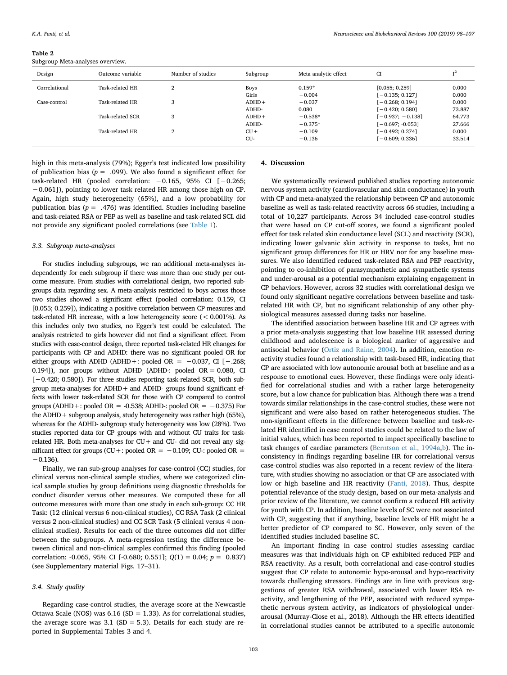<span id="page-5-0"></span>**Table 2** Subgroup Meta-analyses overview.

| Design        | Outcome variable | Number of studies | Subgroup    | Meta analytic effect | CI                 | T <sup>2</sup> |
|---------------|------------------|-------------------|-------------|----------------------|--------------------|----------------|
| Correlational | Task-related HR  | 2                 | <b>Boys</b> | $0.159*$             | [0.055; 0.259]     | 0.000          |
|               |                  |                   | Girls       | $-0.004$             | [ - 0.135; 0.127]  | 0.000          |
| Case-control  | Task-related HR  | 3                 | $ADHD+$     | $-0.037$             | $[-0.268; 0.194]$  | 0.000          |
|               |                  |                   | ADHD-       | 0.080                | [ $-0.420:0.5801$  | 73.887         |
|               | Task-related SCR | 3                 | $ADHD+$     | $-0.538*$            | $[-0.937; -0.138]$ | 64.773         |
|               |                  |                   | ADHD-       | $-0.375*$            | $[-0.697; -0.053]$ | 27.666         |
|               | Task-related HR  | 2                 | $CU +$      | $-0.109$             | [ $-0.492:0.274$ ] | 0.000          |
|               |                  |                   | CU-         | $-0.136$             | $[-0.609; 0.336]$  | 33.514         |

high in this meta-analysis (79%); Egger's test indicated low possibility of publication bias ( $p = .099$ ). We also found a significant effect for task-related HR (pooled correlation:  $-0.165$ , 95% CI  $[-0.265;$ −0.061]), pointing to lower task related HR among those high on CP. Again, high study heterogeneity (65%), and a low probability for publication bias ( $p = .476$ ) was identified. Studies including baseline and task-related RSA or PEP as well as baseline and task-related SCL did not provide any significant pooled correlations (see [Table 1\)](#page-4-1).

#### *3.3. Subgroup meta-analyses*

For studies including subgroups, we ran additional meta-analyses independently for each subgroup if there was more than one study per outcome measure. From studies with correlational design, two reported subgroups data regarding sex. A meta-analysis restricted to boys across those two studies showed a significant effect (pooled correlation: 0.159, CI [0.055; 0.259]), indicating a positive correlation between CP measures and task-related HR increase, with a low heterogeneity score (< 0.001%). As this includes only two studies, no Egger's test could be calculated. The analysis restricted to girls however did not find a significant effect. From studies with case-control design, three reported task-related HR changes for participants with CP and ADHD: there was no significant pooled OR for either groups with ADHD (ADHD+: pooled OR =  $-0.037$ , CI [ $-.268$ ; 0.194]), nor groups without ADHD (ADHD-: pooled  $OR = 0.080$ , CI [-0.420; 0.580]). For three studies reporting task-related SCR, both subgroup meta-analyses for ADHD+ and ADHD- groups found significant effects with lower task-related SCR for those with CP compared to control groups (ADHD+: pooled OR = -0.538; ADHD-: pooled OR =  $-0.375$ ) For the ADHD+ subgroup analysis, study heterogeneity was rather high (65%), whereas for the ADHD- subgroup study heterogeneity was low (28%). Two studies reported data for CP groups with and without CU traits for taskrelated HR. Both meta-analyses for  $CU +$  and  $CU -$  did not reveal any significant effect for groups (CU+: pooled OR =  $-0.109$ ; CU-: pooled OR =  $-0.136$ ).

Finally, we ran sub-group analyses for case-control (CC) studies, for clinical versus non-clinical sample studies, where we categorized clinical sample studies by group definitions using diagnostic thresholds for conduct disorder versus other measures. We computed these for all outcome measures with more than one study in each sub-group: CC HR Task: (12 clinical versus 6 non-clinical studies), CC RSA Task (2 clinical versus 2 non-clinical studies) and CC SCR Task (5 clinical versus 4 nonclinical studies). Results for each of the three outcomes did not differ between the subgroups. A meta-regression testing the difference between clinical and non-clinical samples confirmed this finding (pooled correlation: -0.065, 95% CI [-0.680; 0.551]; *Q*(1) = 0.04; *p* = 0.837) (see Supplementary material Figs. 17–31).

## *3.4. Study quality*

Regarding case-control studies, the average score at the Newcastle Ottawa Scale (NOS) was  $6.16$  (SD = 1.33). As for correlational studies, the average score was  $3.1$  (SD = 5.3). Details for each study are reported in Supplemental Tables 3 and 4.

#### **4. Discussion**

We systematically reviewed published studies reporting autonomic nervous system activity (cardiovascular and skin conductance) in youth with CP and meta-analyzed the relationship between CP and autonomic baseline as well as task-related reactivity across 66 studies, including a total of 10,227 participants. Across 34 included case-control studies that were based on CP cut-off scores, we found a significant pooled effect for task related skin conductance level (SCL) and reactivity (SCR), indicating lower galvanic skin activity in response to tasks, but no significant group differences for HR or HRV nor for any baseline measures. We also identified reduced task-related RSA and PEP reactivity, pointing to co-inhibition of parasympathetic and sympathetic systems and under-arousal as a potential mechanism explaining engagement in CP behaviors. However, across 32 studies with correlational design we found only significant negative correlations between baseline and taskrelated HR with CP, but no significant relationship of any other physiological measures assessed during tasks nor baseline.

The identified association between baseline HR and CP agrees with a prior meta-analysis suggesting that low baseline HR assessed during childhood and adolescence is a biological marker of aggressive and antisocial behavior ([Ortiz and Raine, 2004\)](#page-9-31). In addition, emotion reactivity studies found a relationship with task-based HR, indicating that CP are associated with low autonomic arousal both at baseline and as a response to emotional cues. However, these findings were only identified for correlational studies and with a rather large heterogeneity score, but a low chance for publication bias. Although there was a trend towards similar relationships in the case-control studies, these were not significant and were also based on rather heterogeneous studies. The non-significant effects in the difference between baseline and task-related HR identified in case control studies could be related to the law of initial values, which has been reported to impact specifically baseline to task changes of cardiac parameters [\(Berntson et al., 1994a](#page-7-6),[b\)](#page-7-7). The inconsistency in findings regarding baseline HR for correlational versus case-control studies was also reported in a recent review of the literature, with studies showing no association or that CP are associated with low or high baseline and HR reactivity ([Fanti, 2018\)](#page-8-4). Thus, despite potential relevance of the study design, based on our meta-analysis and prior review of the literature, we cannot confirm a reduced HR activity for youth with CP. In addition, baseline levels of SC were not associated with CP, suggesting that if anything, baseline levels of HR might be a better predictor of CP compared to SC. However, only seven of the identified studies included baseline SC.

An important finding in case control studies assessing cardiac measures was that individuals high on CP exhibited reduced PEP and RSA reactivity. As a result, both correlational and case-control studies suggest that CP relate to autonomic hypo-arousal and hypo-reactivity towards challenging stressors. Findings are in line with previous suggestions of greater RSA withdrawal, associated with lower RSA reactivity, and lengthening of the PEP, associated with reduced sympathetic nervous system activity, as indicators of physiological underarousal (Murray-Close et al., 2018). Although the HR effects identified in correlational studies cannot be attributed to a specific autonomic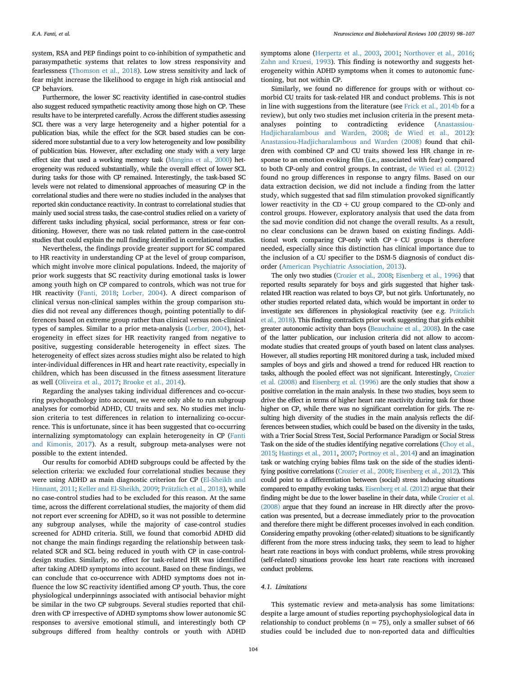system, RSA and PEP findings point to co-inhibition of sympathetic and parasympathetic systems that relates to low stress responsivity and fearlessness ([Thomson et al., 2018](#page-9-32)). Low stress sensitivity and lack of fear might increase the likelihood to engage in high risk antisocial and CP behaviors.

Furthermore, the lower SC reactivity identified in case-control studies also suggest reduced sympathetic reactivity among those high on CP. These results have to be interpreted carefully. Across the different studies assessing SCL there was a very large heterogeneity and a higher potential for a publication bias, while the effect for the SCR based studies can be considered more substantial due to a very low heterogeneity and low possibility of publication bias. However, after excluding one study with a very large effect size that used a working memory task ([Mangina et al., 2000\)](#page-8-39) heterogeneity was reduced substantially, while the overall effect of lower SCL during tasks for those with CP remained. Interestingly, the task-based SC levels were not related to dimensional approaches of measuring CP in the correlational studies and there were no studies included in the analyses that reported skin conductance reactivity. In contrast to correlational studies that mainly used social stress tasks, the case-control studies relied on a variety of different tasks including physical, social performance, stress or fear conditioning. However, there was no task related pattern in the case-control studies that could explain the null finding identified in correlational studies.

Nevertheless, the findings provide greater support for SC compared to HR reactivity in understanding CP at the level of group comparison, which might involve more clinical populations. Indeed, the majority of prior work suggests that SC reactivity during emotional tasks is lower among youth high on CP compared to controls, which was not true for HR reactivity [\(Fanti, 2018](#page-8-4); [Lorber, 2004\)](#page-8-6). A direct comparison of clinical versus non-clinical samples within the group comparison studies did not reveal any differences though, pointing potentially to differences based on extreme group rather than clinical versus non-clinical types of samples. Similar to a prior meta-analysis ([Lorber, 2004\)](#page-8-6), heterogeneity in effect sizes for HR reactivity ranged from negative to positive, suggesting considerable heterogeneity in effect sizes. The heterogeneity of effect sizes across studies might also be related to high inter-individual differences in HR and heart rate reactivity, especially in children, which has been discussed in the fitness assessment literature as well [\(Oliveira et al., 2017;](#page-9-33) [Brooke et al., 2014\)](#page-8-40).

Regarding the analyses taking individual differences and co-occurring psychopathology into account, we were only able to run subgroup analyses for comorbid ADHD, CU traits and sex. No studies met inclusion criteria to test differences in relation to internalizing co-occurrence. This is unfortunate, since it has been suggested that co-occurring internalizing symptomatology can explain heterogeneity in CP ([Fanti](#page-8-41) [and Kimonis, 2017](#page-8-41)). As a result, subgroup meta-analyses were not possible to the extent intended.

Our results for comorbid ADHD subgroups could be affected by the selection criteria: we excluded four correlational studies because they were using ADHD as main diagnostic criterion for CP ([El-Sheikh and](#page-8-10) [Hinnant, 2011](#page-8-10); [Keller and El-Sheikh, 2009;](#page-8-42) [Prätzlich et al., 2018](#page-9-34)), while no case-control studies had to be excluded for this reason. At the same time, across the different correlational studies, the majority of them did not report ever screening for ADHD, so it was not possible to determine any subgroup analyses, while the majority of case-control studies screened for ADHD criteria. Still, we found that comorbid ADHD did not change the main findings regarding the relationship between taskrelated SCR and SCL being reduced in youth with CP in case-controldesign studies. Similarly, no effect for task-related HR was identified after taking ADHD symptoms into account. Based on these findings, we can conclude that co-occurrence with ADHD symptoms does not influence the low SC reactivity identified among CP youth. Thus, the core physiological underpinnings associated with antisocial behavior might be similar in the two CP subgroups. Several studies reported that children with CP irrespective of ADHD symptoms show lower autonomic SC responses to aversive emotional stimuli, and interestingly both CP subgroups differed from healthy controls or youth with ADHD

symptoms alone ([Herpertz et al., 2003](#page-8-19), [2001](#page-8-20); [Northover et al., 2016](#page-9-16); [Zahn and Kruesi, 1993\)](#page-9-17). This finding is noteworthy and suggests heterogeneity within ADHD symptoms when it comes to autonomic functioning, but not within CP.

Similarly, we found no difference for groups with or without comorbid CU traits for task-related HR and conduct problems. This is not in line with suggestions from the literature (see [Frick et al., 2014b](#page-8-43) for a review), but only two studies met inclusion criteria in the present metaanalyses pointing to contradicting evidence ([Anastassiou-](#page-7-9)[Hadjicharalambous and Warden, 2008](#page-7-9); [de Wied et al., 2012](#page-8-22)): [Anastassiou-Hadjicharalambous and Warden \(2008\)](#page-7-9) found that children with combined CP and CU traits showed less HR change in response to an emotion evoking film (i.e., associated with fear) compared to both CP-only and control groups. In contrast, [de Wied et al. \(2012\)](#page-8-22) found no group differences in response to angry films. Based on our data extraction decision, we did not include a finding from the latter study, which suggested that sad film stimulation provoked significantly lower reactivity in the  $CD + CU$  group compared to the CD-only and control groups. However, exploratory analysis that used the data from the sad movie condition did not change the overall results. As a result, no clear conclusions can be drawn based on existing findings. Additional work comparing CP-only with  $CP + CU$  groups is therefore needed, especially since this distinction has clinical importance due to the inclusion of a CU specifier to the DSM-5 diagnosis of conduct disorder [\(American Psychiatric Association, 2013](#page-7-0)).

The only two studies [\(Crozier et al., 2008;](#page-8-44) [Eisenberg et al., 1996\)](#page-8-45) that reported results separately for boys and girls suggested that higher taskrelated HR reaction was related to boys CP, but not girls. Unfortunately, no other studies reported related data, which would be important in order to investigate sex differences in physiological reactivity (see e.g. [Prätzlich](#page-9-34) [et al., 2018\)](#page-9-34). This finding contradicts prior work suggesting that girls exhibit greater autonomic activity than boys [\(Beauchaine et al., 2008](#page-7-5)). In the case of the latter publication, our inclusion criteria did not allow to accommodate studies that created groups of youth based on latent class analyses. However, all studies reporting HR monitored during a task, included mixed samples of boys and girls and showed a trend for reduced HR reaction to tasks, although the pooled effect was not significant. Interestingly, [Crozier](#page-8-44) [et al. \(2008\)](#page-8-44) and [Eisenberg et al. \(1996\)](#page-8-45) are the only studies that show a positive correlation in the main analysis. In these two studies, boys seem to drive the effect in terms of higher heart rate reactivity during task for those higher on CP, while there was no significant correlation for girls. The resulting high diversity of the studies in the main analysis reflects the differences between studies, which could be based on the diversity in the tasks, with a Trier Social Stress Test, Social Performance Paradigm or Social Stress Task on the side of the studies identifying negative correlations [\(Choy et al.,](#page-8-46) [2015;](#page-8-46) [Hastings et al., 2011,](#page-8-47) [2007](#page-8-48); [Portnoy et al., 2014\)](#page-9-35) and an imagination task or watching crying babies films task on the side of the studies identifying positive correlations [\(Crozier et al., 2008;](#page-8-44) [Eisenberg et al., 2012\)](#page-8-49). This could point to a differentiation between (social) stress inducing situations compared to empathy evoking tasks. [Eisenberg et al. \(2012\)](#page-8-49) argue that their finding might be due to the lower baseline in their data, while [Crozier et al.](#page-8-44) [\(2008\)](#page-8-44) argue that they found an increase in HR directly after the provocation was presented, but a decrease immediately prior to the provocation and therefore there might be different processes involved in each condition. Considering empathy provoking (other-related) situations to be significantly different from the more stress inducing tasks, they seem to lead to higher heart rate reactions in boys with conduct problems, while stress provoking (self-related) situations provoke less heart rate reactions with increased conduct problems.

#### *4.1. Limitations*

This systematic review and meta-analysis has some limitations: despite a large amount of studies reporting psychophysiological data in relationship to conduct problems ( $n = 75$ ), only a smaller subset of 66 studies could be included due to non-reported data and difficulties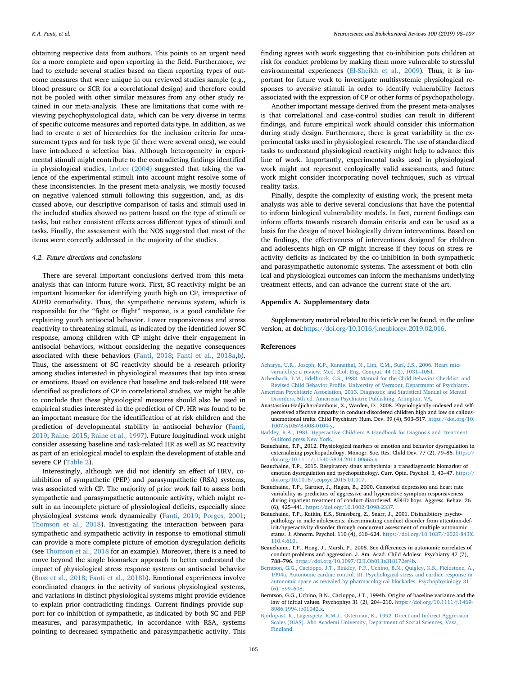obtaining respective data from authors. This points to an urgent need for a more complete and open reporting in the field. Furthermore, we had to exclude several studies based on them reporting types of outcome measures that were unique in our reviewed studies sample (e.g., blood pressure or SCR for a correlational design) and therefore could not be pooled with other similar measures from any other study retained in our meta-analysis. These are limitations that come with reviewing psychophysiological data, which can be very diverse in terms of specific outcome measures and reported data type. In addition, as we had to create a set of hierarchies for the inclusion criteria for measurement types and for task type (if there were several ones), we could have introduced a selection bias. Although heterogeneity in experimental stimuli might contribute to the contradicting findings identified in physiological studies, [Lorber \(2004\)](#page-8-6) suggested that taking the valence of the experimental stimuli into account might resolve some of these inconsistencies. In the present meta-analysis, we mostly focused on negative valenced stimuli following this suggestion, and, as discussed above, our descriptive comparison of tasks and stimuli used in the included studies showed no pattern based on the type of stimuli or tasks, but rather consistent effects across different types of stimuli and tasks. Finally, the assessment with the NOS suggested that most of the items were correctly addressed in the majority of the studies.

### *4.2. Future directions and conclusions*

There are several important conclusions derived from this metaanalysis that can inform future work. First, SC reactivity might be an important biomarker for identifying youth high on CP, irrespective of ADHD comorbidity. Thus, the sympathetic nervous system, which is responsible for the "fight or flight" response, is a good candidate for explaining youth antisocial behavior. Lower responsiveness and stress reactivity to threatening stimuli, as indicated by the identified lower SC response, among children with CP might drive their engagement in antisocial behaviors, without considering the negative consequences associated with these behaviors [\(Fanti, 2018](#page-8-4); [Fanti et al., 2018a,](#page-8-50)[b](#page-8-51)). Thus, the assessment of SC reactivity should be a research priority among studies interested in physiological measures that tap into stress or emotions. Based on evidence that baseline and task-related HR were identified as predictors of CP in correlational studies, we might be able to conclude that these physiological measures should also be used in empirical studies interested in the prediction of CP. HR was found to be an important measure for the identification of at risk children and the prediction of developmental stability in antisocial behavior [\(Fanti,](#page-8-52) [2019;](#page-8-52) [Raine, 2015;](#page-9-36) [Raine et al., 1997\)](#page-9-6). Future longitudinal work might consider assessing baseline and task-related HR as well as SC reactivity as part of an etiological model to explain the development of stable and severe CP ([Table 2](#page-5-0)).

Interestingly, although we did not identify an effect of HRV, coinhibition of sympathetic (PEP) and parasympathetic (RSA) systems, was associated with CP. The majority of prior work fail to assess both sympathetic and parasympathetic autonomic activity, which might result in an incomplete picture of physiological deficits, especially since physiological systems work dynamically ([Fanti, 2019;](#page-8-52) [Porges, 2001](#page-9-10); [Thomson et al., 2018\)](#page-9-32). Investigating the interaction between parasympathetic and sympathetic activity in response to emotional stimuli can provide a more complete picture of emotion dysregulation deficits (see [Thomson et al., 2018](#page-9-32) for an example). Moreover, there is a need to move beyond the single biomarker approach to better understand the impact of physiological stress response systems on antisocial behavior ([Buss et al., 2018](#page-8-53); [Fanti et al., 2018b\)](#page-8-51). Emotional experiences involve coordinated changes in the activity of various physiological systems, and variations in distinct physiological systems might provide evidence to explain prior contradicting findings. Current findings provide support for co-inhibition of sympathetic, as indicated by both SC and PEP measures, and parasympathetic, in accordance with RSA, systems pointing to decreased sympathetic and parasympathetic activity. This

finding agrees with work suggesting that co-inhibition puts children at risk for conduct problems by making them more vulnerable to stressful environmental experiences ([El-Sheikh et al., 2009](#page-8-14)). Thus, it is important for future work to investigate multisystemic physiological responses to aversive stimuli in order to identify vulnerability factors associated with the expression of CP or other forms of psychopathology.

Another important message derived from the present meta-analyses is that correlational and case-control studies can result in different findings, and future empirical work should consider this information during study design. Furthermore, there is great variability in the experimental tasks used in physiological research. The use of standardized tasks to understand physiological reactivity might help to advance this line of work. Importantly, experimental tasks used in physiological work might not represent ecologically valid assessments, and future work might consider incorporating novel techniques, such as virtual reality tasks.

Finally, despite the complexity of existing work, the present metaanalysis was able to derive several conclusions that have the potential to inform biological vulnerability models. In fact, current findings can inform efforts towards research domain criteria and can be used as a basis for the design of novel biologically driven interventions. Based on the findings, the effectiveness of interventions designed for children and adolescents high on CP might increase if they focus on stress reactivity deficits as indicated by the co-inhibition in both sympathetic and parasympathetic autonomic systems. The assessment of both clinical and physiological outcomes can inform the mechanisms underlying treatment effects, and can advance the current state of the art.

#### **Appendix A. Supplementary data**

Supplementary material related to this article can be found, in the online version, at doi:<https://doi.org/10.1016/j.neubiorev.2019.02.016>.

#### **References**

- <span id="page-7-2"></span>[Acharya, U.R., Joseph, K.P., Kannathal, N., Lim, C.M., Suri, J.S., 2006. Heart rate](http://refhub.elsevier.com/S0149-7634(18)30442-1/sbref0005)[variability: a review. Med. Biol. Eng. Comput. 44 \(12\), 1031–1051](http://refhub.elsevier.com/S0149-7634(18)30442-1/sbref0005).
- <span id="page-7-10"></span>[Achenbach, T.M., Edelbrock, C.S., 1983. Manual for the Child Behavior Checklist: and](http://refhub.elsevier.com/S0149-7634(18)30442-1/sbref0010) [Revised Child Behavior Profile. University of Vermont, Department of Psychiatry.](http://refhub.elsevier.com/S0149-7634(18)30442-1/sbref0010)
- <span id="page-7-0"></span>[American Psychiatric Association, 2013. Diagnostic and Statistical Manual of Mental](http://refhub.elsevier.com/S0149-7634(18)30442-1/sbref0015) [Disorders, 5th ed. American Psychiatric Publishing, Arlington, VA.](http://refhub.elsevier.com/S0149-7634(18)30442-1/sbref0015)
- <span id="page-7-9"></span>Anastassiou-Hadjicharalambous, X., Warden, D., 2008. Physiologically-indexed and selfperceived affective empathy in conduct-disordered children high and low on callousunemotional traits. Child Psychiatry Hum. Dev. 39 (4), 503–517. [https://doi.org/10.](https://doi.org/10.1007/s10578-008-0104-y) [1007/s10578-008-0104-y](https://doi.org/10.1007/s10578-008-0104-y).
- <span id="page-7-11"></span>[Barkley, R.A., 1981. Hyperactive Children: A Handbook for Diagnosis and Treatment.](http://refhub.elsevier.com/S0149-7634(18)30442-1/sbref0025) [Guilford press New York.](http://refhub.elsevier.com/S0149-7634(18)30442-1/sbref0025)
- <span id="page-7-1"></span>Beauchaine, T.P., 2012. Physiological markers of emotion and behavior dysregulation in externalizing psychopathology. Monogr. Soc. Res. Child Dev. 77 (2), 79–86. [https://](https://doi.org/10.1111/j.1540-5834.2011.00665.x) [doi.org/10.1111/j.1540-5834.2011.00665.x.](https://doi.org/10.1111/j.1540-5834.2011.00665.x)
- <span id="page-7-4"></span>Beauchaine, T.P., 2015. Respiratory sinus arrhythmia: a transdiagnostic biomarker of emotion dysregulation and psychopathology. Curr. Opin. Psychol. 3, 43–47. [https://](https://doi.org/10.1016/j.copsyc.2015.01.017) [doi.org/10.1016/j.copsyc.2015.01.017](https://doi.org/10.1016/j.copsyc.2015.01.017).
- <span id="page-7-8"></span>Beauchaine, T.P., Gartner, J., Hagen, B., 2000. Comorbid depression and heart rate variability as predictors of aggressive and hyperactive symptom responsiveness during inpatient treatment of conduct-disordered, ADHD boys. Aggress. Behav. 26 (6), 425–441. <https://doi.org/10.1002/1098-2337>.
- <span id="page-7-3"></span>Beauchaine, T.P., Katkin, E.S., Strassberg, Z., Snarr, J., 2001. Disinhibitory psychopathology in male adolescents: discriminating conduct disorder from attention-deficit/hyperactivity disorder through concurrent assessment of multiple autonomic states. J. Abnorm. Psychol. 110 (4), 610–624. [https://doi.org/10.1037//0021-843X.](https://doi.org/10.1037//0021-843X.110.4.610) [110.4.610](https://doi.org/10.1037//0021-843X.110.4.610).
- <span id="page-7-5"></span>Beauchaine, T.P., Hong, J., Marsh, P., 2008. Sex differences in autonomic correlates of conduct problems and aggression. J. Am. Acad. Child Adolesc. Psychiatry 47 (7), 788–796. [https://doi.org/10.1097/CHI.Ob013e318172ef4b.](https://doi.org/10.1097/CHI.Ob013e318172ef4b)
- <span id="page-7-6"></span>[Berntson, G.G., Cacioppo, J.T., Binkley, P.F., Uchino, B.N., Quigley, K.S., Fieldstone, A.,](http://refhub.elsevier.com/S0149-7634(18)30442-1/sbref0055) [1994a. Autonomic cardiac control. III. Psychological stress and cardiac response in](http://refhub.elsevier.com/S0149-7634(18)30442-1/sbref0055) [autonomic space as revealed by pharmacological blockades. Psychophysiology 31](http://refhub.elsevier.com/S0149-7634(18)30442-1/sbref0055) [\(6\), 599–608.](http://refhub.elsevier.com/S0149-7634(18)30442-1/sbref0055)
- <span id="page-7-7"></span>Berntson, G.G., Uchino, B.N., Cacioppo, J.T., 1994b. Origins of baseline variance and the law of initial values. Psychophys 31 (2), 204–210. [https://doi.org/10.1111/j.1469-](https://doi.org/10.1111/j.1469-8986.1994.tb01042.x) [8986.1994.tb01042.x.](https://doi.org/10.1111/j.1469-8986.1994.tb01042.x)
- <span id="page-7-12"></span>[Björkqvist, K., Lagerspetz, K.M.J., Österman, K., 1992. Direct and Indirect Aggression](http://refhub.elsevier.com/S0149-7634(18)30442-1/sbref0065) [Scales \(DIAS\). Abo Academi University, Department of Social Sciences, Vasa,](http://refhub.elsevier.com/S0149-7634(18)30442-1/sbref0065) [Findland.](http://refhub.elsevier.com/S0149-7634(18)30442-1/sbref0065)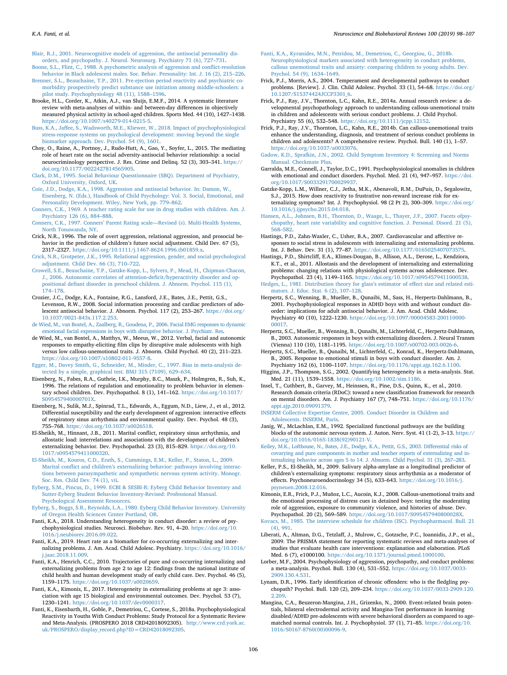<span id="page-8-3"></span>[Blair, R.J., 2001. Neurocognitive models of aggression, the antisocial personality dis](http://refhub.elsevier.com/S0149-7634(18)30442-1/sbref0070)[orders, and psychopathy. J. Neurol. Neurosurg. Psychiatry 71 \(6\), 727–731.](http://refhub.elsevier.com/S0149-7634(18)30442-1/sbref0070)

<span id="page-8-33"></span>[Boone, S.L., Flint, C., 1988. A psychometric analysis of aggression and conflict-resolution](http://refhub.elsevier.com/S0149-7634(18)30442-1/sbref0075) [behavior in Black adolescent males. Soc. Behav. Personality: Int. J. 16 \(2\), 215–226.](http://refhub.elsevier.com/S0149-7634(18)30442-1/sbref0075)

- <span id="page-8-12"></span>Brenner, S.L., Beauchaine, T.P., 2011. Pre-ejection period reactivity and psychiatric co[morbidity prospectively predict substance use initiation among middle‐schoolers: a](http://refhub.elsevier.com/S0149-7634(18)30442-1/sbref0080) [pilot study. Psychophysiology 48 \(11\), 1588–1596](http://refhub.elsevier.com/S0149-7634(18)30442-1/sbref0080).
- <span id="page-8-40"></span>Brooke, H.L., Corder, K., Atkin, A.J., van Sluijs, E.M.F., 2014. A systematic literature review with meta-analyses of within- and between-day differences in objectively measured physical activity in school-aged children. Sports Med. 44 (10), 1427–1438. [https://doi.org/10.1007/s40279-014-0215-5.](https://doi.org/10.1007/s40279-014-0215-5)
- <span id="page-8-53"></span>[Buss, K.A., Jaffee, S., Wadsworth, M.E., Kliewer, W., 2018. Impact of psychophysiological](http://refhub.elsevier.com/S0149-7634(18)30442-1/sbref0090) [stress-response systems on psychological development: moving beyond the single](http://refhub.elsevier.com/S0149-7634(18)30442-1/sbref0090) [biomarker approach. Dev. Psychol. 54 \(9\), 1601](http://refhub.elsevier.com/S0149-7634(18)30442-1/sbref0090).
- <span id="page-8-46"></span>Choy, O., Raine, A., Portnoy, J., Rudo-Hutt, A., Gao, Y., Soyfer, L., 2015. The mediating role of heart rate on the social adversity-antisocial behavior relationship: a social neurocriminology perspective. J. Res. Crime and Delinq. 52 (3), 303–341. [https://](https://doi.org/10.1177/0022427814565905) [doi.org/10.1177/0022427814565905.](https://doi.org/10.1177/0022427814565905)
- <span id="page-8-32"></span>[Clark, D.M., 1995. Social Behaviour Quesstionnaire \(SBQ\). Department of Psychiatry,](http://refhub.elsevier.com/S0149-7634(18)30442-1/sbref0100) [Oxford University, Oxford, UK](http://refhub.elsevier.com/S0149-7634(18)30442-1/sbref0100).
- <span id="page-8-1"></span>[Coie, J.D., Dodge, K.A., 1998. Aggression and antisocial behavior. In: Damon, W.,](http://refhub.elsevier.com/S0149-7634(18)30442-1/sbref0105) [Eisenberg, N. \(Eds.\), Handbook of Child Psychology: Vol. 3. Social, Emotional, and](http://refhub.elsevier.com/S0149-7634(18)30442-1/sbref0105) [Personality Development. Wiley, New York, pp. 779–862](http://refhub.elsevier.com/S0149-7634(18)30442-1/sbref0105).
- <span id="page-8-28"></span>[Conners, C.K., 1969. A teacher rating scale for use in drug studies with children. Am. J.](http://refhub.elsevier.com/S0149-7634(18)30442-1/sbref0110) [Psychiatry 126 \(6\), 884–888](http://refhub.elsevier.com/S0149-7634(18)30442-1/sbref0110).
- <span id="page-8-29"></span>[Conners, C.K., 1997. Conners' Parent Rating scale—Revised \(s\). Multi-Health Systems,](http://refhub.elsevier.com/S0149-7634(18)30442-1/sbref0115) [North Tonawanda, NY](http://refhub.elsevier.com/S0149-7634(18)30442-1/sbref0115).
- <span id="page-8-34"></span>Crick, N.R., 1996. The role of overt aggression, relational aggression, and prosocial behavior in the prediction of children's future social adjustment. Child Dev. 67 (5), 2317–2327. <https://doi.org/10.1111/j.1467-8624.1996.tb01859.x>.
- <span id="page-8-35"></span>[Crick, N.R., Grotpeter, J.K., 1995. Relational aggression, gender, and social-psychological](http://refhub.elsevier.com/S0149-7634(18)30442-1/sbref0125) [adjustment. Child Dev. 66 \(3\), 710–722](http://refhub.elsevier.com/S0149-7634(18)30442-1/sbref0125).
- <span id="page-8-13"></span>[Crowell, S.E., Beauchaine, T.P., Gatzke-Kopp, L., Sylvers, P., Mead, H., Chipman-Chacon,](http://refhub.elsevier.com/S0149-7634(18)30442-1/sbref0130) [J., 2006. Autonomic correlates of attention-deficit/hyperactivity disorder and op](http://refhub.elsevier.com/S0149-7634(18)30442-1/sbref0130)[positional defiant disorder in preschool children. J. Abnorm. Psychol. 115 \(1\),](http://refhub.elsevier.com/S0149-7634(18)30442-1/sbref0130)  $174 - 178$
- <span id="page-8-44"></span>Crozier, J.C., Dodge, K.A., Fontaine, R.G., Lansford, J.E., Bates, J.E., Pettit, G.S., Levenson, R.W., 2008. Social information processing and cardiac predictors of adolescent antisocial behavior. J. Abnorm. Psychol. 117 (2), 253–267. [https://doi.org/](https://doi.org/10.1037/0021-843x.117.2.253) [10.1037/0021-843x.117.2.253.](https://doi.org/10.1037/0021-843x.117.2.253)
- <span id="page-8-9"></span>[de Wied, M., van Boxtel, A., Zaalberg, R., Goudena, P., 2006. Facial EMG responses to dynamic](http://refhub.elsevier.com/S0149-7634(18)30442-1/sbref0140) [emotional facial expressions in boys with disruptive behavior. J. Psychiatr. Res](http://refhub.elsevier.com/S0149-7634(18)30442-1/sbref0140).
- <span id="page-8-22"></span>de Wied, M., van Boxtel, A., Matthys, W., Meeus, W., 2012. Verbal, facial and autonomic responses to empathy-eliciting film clips by disruptive male adolescents with high versus low callous-unemotional traits. J. Abnorm. Child Psychol. 40 (2), 211–223. [https://doi.org/10.1007/s10802-011-9557-8.](https://doi.org/10.1007/s10802-011-9557-8)
- <span id="page-8-38"></span>[Egger, M., Davey Smith, G., Schneider, M., Minder, C., 1997. Bias in meta-analysis de](http://refhub.elsevier.com/S0149-7634(18)30442-1/sbref0150)[tected by a simple, graphical test. BMJ 315 \(7109\), 629–634](http://refhub.elsevier.com/S0149-7634(18)30442-1/sbref0150).
- <span id="page-8-45"></span>Eisenberg, N., Fabes, R.A., Guthrie, I.K., Murphy, B.C., Maszk, P., Holmgren, R., Suh, K., 1996. The relations of regulation and emotionality to problem behavior in elementary school children. Dev. Psychopathol. 8 (1), 141–162. [https://doi.org/10.1017/](https://doi.org/10.1017/S095457940000701X) [S095457940000701X.](https://doi.org/10.1017/S095457940000701X)
- <span id="page-8-49"></span>Eisenberg, N., Sulik, M.J., Spinrad, T.L., Edwards, A., Eggum, N.D., Liew, J., et al., 2012. Differential susceptibility and the early development of aggression: interactive effects of respiratory sinus arrhythmia and environmental quality. Dev. Psychol. 48 (3), 755–768. <https://doi.org/10.1037/a0026518>.
- <span id="page-8-10"></span>El-Sheikh, M., Hinnant, J.B., 2011. Marital conflict, respiratory sinus arrhythmia, and allostatic load: interrelations and associations with the development of children's externalizing behavior. Dev. Psychopathol. 23 (3), 815–829. [https://doi.org/10.](https://doi.org/10.1017/s0954579411000320) [1017/s0954579411000320](https://doi.org/10.1017/s0954579411000320).
- <span id="page-8-14"></span>[El-Sheikh, M., Kouros, C.D., Erath, S., Cummings, E.M., Keller, P., Staton, L., 2009.](http://refhub.elsevier.com/S0149-7634(18)30442-1/sbref0170) [Marital conflict and children's externalizing behavior: pathways involving interac](http://refhub.elsevier.com/S0149-7634(18)30442-1/sbref0170)[tions between parasympathetic and sympathetic nervous system activity. Monogr.](http://refhub.elsevier.com/S0149-7634(18)30442-1/sbref0170) [Soc. Res. Child Dev. 74 \(1\), vii.](http://refhub.elsevier.com/S0149-7634(18)30442-1/sbref0170)
- <span id="page-8-31"></span>[Eyberg, S.M., Pincus, D., 1999. ECBI & SESBI-R: Eyberg Child Behavior Inventory and](http://refhub.elsevier.com/S0149-7634(18)30442-1/sbref0175) [Sutter-Eyberg Student Behavior Inventory-Revised: Professional Manual.](http://refhub.elsevier.com/S0149-7634(18)30442-1/sbref0175) [Psychological Assessment Resources](http://refhub.elsevier.com/S0149-7634(18)30442-1/sbref0175).
- <span id="page-8-30"></span>[Eyberg, S., Boggs, S.R., Reynolds, L.A., 1980. Eyberg Child Behavior Inventory. University](http://refhub.elsevier.com/S0149-7634(18)30442-1/sbref0180) [of Oregon Health Sciences Center Portland, OR](http://refhub.elsevier.com/S0149-7634(18)30442-1/sbref0180).
- <span id="page-8-4"></span>Fanti, K.A., 2018. Understanding heterogeneity in conduct disorder: a review of psychophysiological studies. Neurosci. Biobehav. Rev. 91, 4–20. [https://doi.org/10.](https://doi.org/10.1016/j.neubiorev.2016.09.022) [1016/j.neubiorev.2016.09.022.](https://doi.org/10.1016/j.neubiorev.2016.09.022)
- <span id="page-8-52"></span>Fanti, K.A., 2019. Heart rate as a biomarker for co-occurring externalizing and internalizing problems. J. Am. Acad. Child Adolesc. Psychiatry. [https://doi.org/10.1016/](https://doi.org/10.1016/j.jaac.2018.11.009) [j.jaac.2018.11.009](https://doi.org/10.1016/j.jaac.2018.11.009).
- <span id="page-8-15"></span>Fanti, K.A., Henrich, C.C., 2010. Trajectories of pure and co-occurring internalizing and externalizing problems from age 2 to age 12: findings from the national institute of child health and human development study of early child care. Dev. Psychol. 46 (5), 1159–1175. [https://doi.org/10.1037/a0020659.](https://doi.org/10.1037/a0020659)
- <span id="page-8-41"></span>Fanti, K.A., Kimonis, E., 2017. Heterogeneity in externalizing problems at age 3: association with age 15 biological and environmental outcomes. Dev. Psychol. 53 (7), 1230–1241. <https://doi.org/10.1037/dev0000317>.
- <span id="page-8-50"></span>Fanti, K., Eisenbarth, H., Goble, P., Demetriou, C., Cortese, S., 2018a. Psychophysiological Reactivity in Youths With Conduct Problems: Study Protocol for a Systematic Review and Meta-Analysis. (PROSPERO 2018 CRD42018092305). [http://www.crd.york.ac.](http://www.crd.york.ac.uk/PROSPERO/display_record.php?ID=CRD42018092305) [uk/PROSPERO/display\\_record.php?ID=CRD42018092305.](http://www.crd.york.ac.uk/PROSPERO/display_record.php?ID=CRD42018092305)
- <span id="page-8-51"></span>[Fanti, K.A., Kyranides, M.N., Petridou, M., Demetriou, C., Georgiou, G., 2018b.](http://refhub.elsevier.com/S0149-7634(18)30442-1/sbref0210) [Neurophysiological markers associated with heterogeneity in conduct problems,](http://refhub.elsevier.com/S0149-7634(18)30442-1/sbref0210) [callous unemotional traits and anxiety: comparing children to young adults. Dev.](http://refhub.elsevier.com/S0149-7634(18)30442-1/sbref0210) [Psychol. 54 \(9\), 1634–1649.](http://refhub.elsevier.com/S0149-7634(18)30442-1/sbref0210)
- <span id="page-8-0"></span>Frick, P.J., Morris, A.S., 2004. Temperament and developmental pathways to conduct problems. [Review]. J. Clin. Child Adolesc. Psychol. 33 (1), 54–68. [https://doi.org/](https://doi.org/10.1207/S15374424JCCP3301_6) [10.1207/S15374424JCCP3301\\_6.](https://doi.org/10.1207/S15374424JCCP3301_6)
- <span id="page-8-16"></span>Frick, P.J., Ray, J.V., Thornton, L.C., Kahn, R.E., 2014a. Annual research review: a developmental psychopathology approach to understanding callous-unemotional traits in children and adolescents with serious conduct problems. J. Child Psychol. Psychiatry 55 (6), 532–548. [https://doi.org/10.1111/jcpp.12152.](https://doi.org/10.1111/jcpp.12152)
- <span id="page-8-43"></span>Frick, P.J., Ray, J.V., Thornton, L.C., Kahn, R.E., 2014b. Can callous-unemotional traits enhance the understanding, diagnosis, and treatment of serious conduct problems in children and adolescents? A comprehensive review. Psychol. Bull. 140 (1), 1–57. [https://doi.org/10.1037/a0033076.](https://doi.org/10.1037/a0033076)

<span id="page-8-27"></span>[Gadow, K.D., Sprafkin, J.N., 2002. Child Symptom Inventory 4: Screening and Norms](http://refhub.elsevier.com/S0149-7634(18)30442-1/sbref0230) [Manual. Checkmate Plus.](http://refhub.elsevier.com/S0149-7634(18)30442-1/sbref0230)

- <span id="page-8-21"></span>Garralda, M.E., Connell, J., Taylor, D.C., 1991. Psychophysiological anomalies in children with emotional and conduct disorders. Psychol. Med. 21 (4), 947–957. [https://doi.](https://doi.org/10.1017/S0033291700029937) [org/10.1017/S0033291700029937](https://doi.org/10.1017/S0033291700029937).
- <span id="page-8-11"></span>Gatzke-Kopp, L.M., Willner, C.J., Jetha, M.K., Abenavoli, R.M., DuPuis, D., Segalowitz, S.J., 2015. How does reactivity to frustrative non-reward increase risk for externalizing symptoms? Int. J. Psychophysiol. 98 (2 Pt 2), 300–309. [https://doi.org/](https://doi.org/10.1016/j.ijpsycho.2015.04.018) [10.1016/j.ijpsycho.2015.04.018.](https://doi.org/10.1016/j.ijpsycho.2015.04.018)

<span id="page-8-8"></span>[Hansen, A.L., Johnsen, B.H., Thornton, D., Waage, L., Thayer, J.F., 2007. Facets ofpsy](http://refhub.elsevier.com/S0149-7634(18)30442-1/sbref0245)[chopathy, heart rate variability and cognitive function. J. Personal. Disord. 21 \(5\),](http://refhub.elsevier.com/S0149-7634(18)30442-1/sbref0245) [568–582](http://refhub.elsevier.com/S0149-7634(18)30442-1/sbref0245).

- <span id="page-8-48"></span>Hastings, P.D., Zahn-Waxler, C., Usher, B.A., 2007. Cardiovascular and affective responses to social stress in adolescents with internalizing and externalizing problems. Int. J. Behav. Dev. 31 (1), 77–87. [https://doi.org/10.1177/0165025407073575.](https://doi.org/10.1177/0165025407073575)
- <span id="page-8-47"></span>Hastings, P.D., Shirtcliff, E.A., Klimes-Dougan, B., Allison, A.L., Derose, L., Kendziora, K.T., et al., 2011. Allostasis and the development of internalizing and externalizing problems: changing relations with physiological systems across adolescence. Dev. Psychopathol. 23 (4), 1149–1165. <https://doi.org/10.1017/s0954579411000538>. [Hedges, L., 1981. Distribution theory for glass's estimator of effect size and related esti-](http://refhub.elsevier.com/S0149-7634(18)30442-1/sbref0260)
- <span id="page-8-36"></span>[mators. J. Educ. Stat. 6 \(2\), 107–128](http://refhub.elsevier.com/S0149-7634(18)30442-1/sbref0260). Herpertz, S.C., Wenning, B., Mueller, B., Qunaibi, M., Sass, H., Herpertz-Dahlmann, B.,
- <span id="page-8-20"></span>2001. Psychophysiological responses in ADHD boys with and without conduct disorder: implications for adult antisocial behavior. J. Am. Acad. Child Adolesc. Psychiatry 40 (10), 1222–1230. [https://doi.org/10.1097/00004583-200110000-](https://doi.org/10.1097/00004583-200110000-00017) [00017.](https://doi.org/10.1097/00004583-200110000-00017)
- <span id="page-8-19"></span>Herpertz, S.C., Mueller, B., Wenning, B., Qunaibi, M., Lichterfeld, C., Herpertz-Dahlmann, B., 2003. Autonomic responses in boys with externalizing disorders. J. Neural Transm (Vienna) 110 (10), 1181–1195. [https://doi.org/10.1007/s00702-003-0026-6.](https://doi.org/10.1007/s00702-003-0026-6)
- <span id="page-8-18"></span>Herpertz, S.C., Mueller, B., Qunaibi, M., Lichterfeld, C., Konrad, K., Herpertz-Dahlmann, B., 2005. Response to emotional stimuli in boys with conduct disorder. Am. J. Psychiatry 162 (6), 1100–1107. [https://doi.org/10.1176/appi.ajp.162.6.1100.](https://doi.org/10.1176/appi.ajp.162.6.1100)
- <span id="page-8-37"></span>Higgins, J.P., Thompson, S.G., 2002. Quantifying heterogeneity in a meta-analysis. Stat. Med. 21 (11), 1539–1558. [https://doi.org/10.1002/sim.1186.](https://doi.org/10.1002/sim.1186)
- <span id="page-8-5"></span>Insel, T., Cuthbert, B., Garvey, M., Heinssen, R., Pine, D.S., Quinn, K., et al., 2010. Research domain criteria (RDoC): toward a new classification framework for research on mental disorders. Am. J. Psychiatry 167 (7), 748–751. [https://doi.org/10.1176/](https://doi.org/10.1176/appi.ajp.2010.09091379) [appi.ajp.2010.09091379.](https://doi.org/10.1176/appi.ajp.2010.09091379)
- <span id="page-8-25"></span>[INSERM Collective Expertise Centre, 2005. Conduct Disorder in Children and](http://refhub.elsevier.com/S0149-7634(18)30442-1/sbref0290) [Adolescents. INSERM, Paris](http://refhub.elsevier.com/S0149-7634(18)30442-1/sbref0290).
- <span id="page-8-7"></span>Janig, W., McLachlan, E.M., 1992. Specialized functional pathways are the building blocks of the autonomic nervous system. J. Auton. Nerv. Syst. 41 (1-2), 3–13. [https://](https://doi.org/10.1016/0165-1838(92)90121-V) [doi.org/10.1016/0165-1838\(92\)90121-V](https://doi.org/10.1016/0165-1838(92)90121-V).
- <span id="page-8-2"></span>[Keiley, M.K., Lofthouse, N., Bates, J.E., Dodge, K.A., Pettit, G.S., 2003. Differential risks of](http://refhub.elsevier.com/S0149-7634(18)30442-1/sbref0300) [covarying and pure components in mother and teacher reports of externalizing and in](http://refhub.elsevier.com/S0149-7634(18)30442-1/sbref0300)[ternalizing behavior across ages 5 to 14. J. Abnorm. Child Psychol. 31 \(3\), 267–283.](http://refhub.elsevier.com/S0149-7634(18)30442-1/sbref0300)
- <span id="page-8-42"></span>Keller, P.S., El-Sheikh, M., 2009. Salivary alpha-amylase as a longitudinal predictor of children's externalizing symptoms: respiratory sinus arrhythmia as a moderator of effects. Psychoneuroendocrinology 34 (5), 633–643. [https://doi.org/10.1016/j.](https://doi.org/10.1016/j.psyneuen.2008.12.016) [psyneuen.2008.12.016.](https://doi.org/10.1016/j.psyneuen.2008.12.016)
- <span id="page-8-23"></span>Kimonis, E.R., Frick, P.J., Muñoz, L.C., Aucoin, K.J., 2008. Callous-unemotional traits and the emotional processing of distress cues in detained boys: testing the moderating role of aggression, exposure to community violence, and histories of abuse. Dev. Psychopathol. 20 (2), 569–589. <https://doi.org/10.1017/S095457940800028X>.

<span id="page-8-26"></span>[Kovacs, M., 1985. The interview schedule for children \(ISC\). Psychopharmacol. Bull. 21](http://refhub.elsevier.com/S0149-7634(18)30442-1/sbref0315) [\(4\), 991.](http://refhub.elsevier.com/S0149-7634(18)30442-1/sbref0315)

- <span id="page-8-24"></span>Liberati, A., Altman, D.G., Tetzlaff, J., Mulrow, C., Gotzsche, P.C., Ioannidis, J.P., et al., 2009. The PRISMA statement for reporting systematic reviews and meta-analyses of studies that evaluate health care interventions: explanation and elaboration. PLoS Med. 6 (7), e1000100. <https://doi.org/10.1371/journal.pmed.1000100>.
- <span id="page-8-6"></span>Lorber, M.F., 2004. Psychophysiology of aggression, psychopathy, and conduct problems: a meta-analysis. Psychol. Bull. 130 (4), 531–552. [https://doi.org/10.1037/0033-](https://doi.org/10.1037/0033-2909.130.4.531) [2909.130.4.531](https://doi.org/10.1037/0033-2909.130.4.531).
- <span id="page-8-17"></span>Lynam, D.R., 1996. Early identification of chronic offenders: who is the fledgling psychopath? Psychol. Bull. 120 (2), 209–234. [https://doi.org/10.1037/0033-2909.120.](https://doi.org/10.1037/0033-2909.120.2.209) [2.209.](https://doi.org/10.1037/0033-2909.120.2.209)
- <span id="page-8-39"></span>Mangina, C.A., Beuzeron-Mangina, J.H., Grizenko, N., 2000. Event-related brain potentials, bilateral electrodermal activity and Mangina-Test performance in learning disabled/ADHD pre-adolescents with severe behavioral disorders as compared to agematched normal controls. Int. J. Psychophysiol. 37 (1), 71–85. [https://doi.org/10.](https://doi.org/10.1016/S0167-8760(00)00096-9) [1016/S0167-8760\(00\)00096-9.](https://doi.org/10.1016/S0167-8760(00)00096-9)